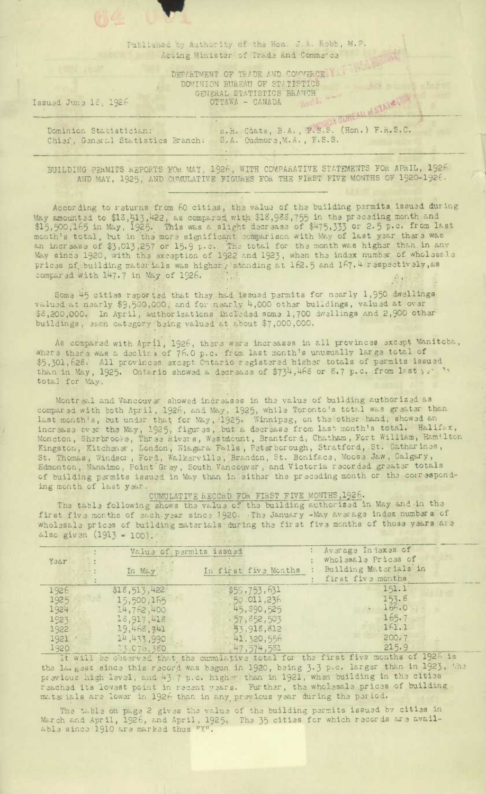Published by Authority of the Hon. J.A. Robb, M.P. Acting Minister of Trade and Commerce

> DEPARTMENT OF TRADE AND COMMERCE DOMINION BUREAU OF STATISTICS GENERAL STATISTICS BRANCH OTTAWA - CANADA

VSTAIR !

Issued June 12, 1926

H.H. Coats, B.A., F.S.S. (Hon.) F.R.S.C. Dominion Statistician: Chief, General Statistics Branch: S.A. Cudmore, M.A., F.S.S.

BUILDING PERMITS REPORTS FOR MAY, 1926, WITH COMPARATIVE STATEMENTS FOR APRIL, 1926 AND MAY, 1925, AND CUMULATIVE FIGURES FOR THE FIRST FIVE MONTHS OF 1920-1926.

According to returns from 60 cities, the value of the building permits issued during May amounted to \$13,513,422, as compared with \$18,988,755 in the preceding month and \$15,500,165 in May, 1925. This was a slight decrease of \$475,333 or 2.5 p.c. from last month's total, but in the more significant compar May since 1920, with the exception of 1922 and 1923, when the index number of wholesale prices of building materials was higher; standing at 162.5 and 167.4 respectively, as compared with 147.7 in May of 1926.

Some 45 cities reported that they had issued permits for nearly 1,950 dwellings valued at nearly \$9,500,000, and for nearly 4,000 other buildings, valued at over \$3,200,000. In April, authorizations included some 1,700 dwellings and 2,900 other buildings, sach category being valued at about \$7,000,000.

As compared with April, 1926, there were increases in all provinces except Manitoba, where there was a declire of 76.0 p.c. from last month's unusually large total of \$5,301,628. All provinces except Ontario registered higher totals of permits issued than in May, 1925. Ontario showed a decrease of \$734,468 or 8.7 p.c. from last ) ..." total for May.

Montreal and Vancouver showed increases in the value of building authorized as compared with both April, 1926, and May, 1925, while Toronto's total was greater than<br>last month's, but under that for May, 1925. Winnipeg, on the other hand, showed an<br>increase over the May, 1925, figures, but a decrease St. Thomas, Windson, Ford, Walkerville, Brandon, St. Boniface, Moose Jaw, Calgary, Edmonton, Nanaimo, Point Grey, South Vancouver, and Victoria recorded greater totals of building permits issued in May than in either the preceding month or the corresponding month of last year.

CUMULATIVE RECORD FOR FIRST FIVE MONTHS, 1926.

The table following shows the value of the building authorized in May and in the first five months of each year since 1920. The January -May average index numbers of whelesal and the solid hidden wholesale prices of building materials during the first five months of those years are also given (1913 = 100).

| Year                                                   | In May                                                                                             | Value of permits issued | In first five Months                                                                                    | Average Indexes of<br>wholesale Prices of<br>Building Materials in<br>first five months |
|--------------------------------------------------------|----------------------------------------------------------------------------------------------------|-------------------------|---------------------------------------------------------------------------------------------------------|-----------------------------------------------------------------------------------------|
| 1926<br>1925:<br>1924.<br>1923<br>1922<br>1921<br>1920 | \$18,513,422<br>15,500,165<br>14,762,400<br>13,917,418<br>19,468,741<br>14,433,990<br>7.3.070, 380 |                         | \$59,753,631<br>50.011,236<br>45, 390, 525<br>.57, 852, 503<br>45,918,812<br>41.320,556<br>47, 574, 581 | 151.1<br>153.8<br>$\therefore$ 166.0<br>165.7<br>161.1<br>200.7<br>215.9                |

It will be observed that, the cumulative total for the first five months of 1926 is the largest since this record was begun in 1920, being 3.3 p.c. larger than in 1923, the previous high level, and 43.7 p.c. higher than in 1921, when building in the cities reached its lowest point in recent years. Further, the wholesale prices of building materials are lower in 1926 than in any previous year during the period.

The table on page 2 gives the value of the building permits issued by cities in March and April, 1926, and April, 1925, The 35 cities for which records are avail-<br>able since 1910 are marked thus "X".